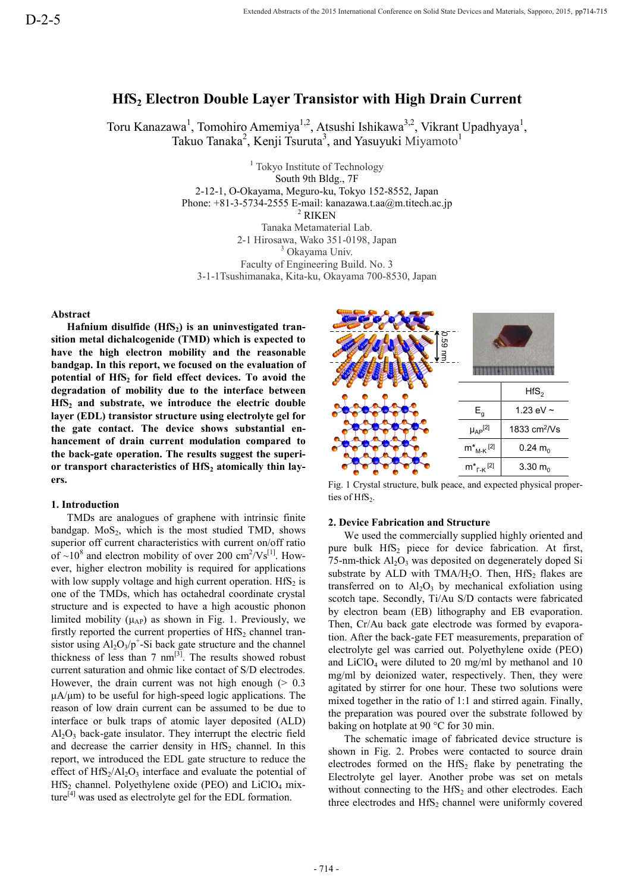# **HfS<sup>2</sup> Electron Double Layer Transistor with High Drain Current**

Toru Kanazawa<sup>1</sup>, Tomohiro Amemiya<sup>1,2</sup>, Atsushi Ishikawa<sup>3,2</sup>, Vikrant Upadhyaya<sup>1</sup>, Takuo Tanaka<sup>2</sup>, Kenji Tsuruta<sup>3</sup>, and Yasuyuki Miyamoto<sup>1</sup>

> <sup>1</sup> Tokyo Institute of Technology South 9th Bldg., 7F 2-12-1, O-Okayama, Meguro-ku, Tokyo 152-8552, Japan Phone: +81-3-5734-2555 E-mail: kanazawa.t.aa@m.titech.ac.jp <sup>2</sup> RIKEN Tanaka Metamaterial Lab. 2-1 Hirosawa, Wako 351-0198, Japan <sup>3</sup> Okayama Univ. Faculty of Engineering Build. No. 3 3-1-1Tsushimanaka, Kita-ku, Okayama 700-8530, Japan

**Abstract**

**Hafnium disulfide (HfS2) is an uninvestigated transition metal dichalcogenide (TMD) which is expected to have the high electron mobility and the reasonable bandgap. In this report, we focused on the evaluation of potential of HfS<sup>2</sup> for field effect devices. To avoid the degradation of mobility due to the interface between HfS<sup>2</sup> and substrate, we introduce the electric double layer (EDL) transistor structure using electrolyte gel for the gate contact. The device shows substantial enhancement of drain current modulation compared to the back-gate operation. The results suggest the superior transport characteristics of HfS<sup>2</sup> atomically thin layers.**

## **1. Introduction**

TMDs are analogues of graphene with intrinsic finite bandgap.  $MoS<sub>2</sub>$ , which is the most studied TMD, shows superior off current characteristics with current on/off ratio of  $\sim 10^8$  and electron mobility of over 200 cm<sup>2</sup>/Vs<sup>[1]</sup>. However, higher electron mobility is required for applications with low supply voltage and high current operation.  $HfS<sub>2</sub>$  is one of the TMDs, which has octahedral coordinate crystal structure and is expected to have a high acoustic phonon limited mobility  $(\mu_{AP})$  as shown in Fig. 1. Previously, we firstly reported the current properties of  $HfS<sub>2</sub>$  channel transistor using  $Al_2O_3/p^+$ -Si back gate structure and the channel thickness of less than  $7 \text{ nm}^{[3]}$ . The results showed robust current saturation and ohmic like contact of S/D electrodes. However, the drain current was not high enough  $($  > 0.3  $\mu$ A/ $\mu$ m) to be useful for high-speed logic applications. The reason of low drain current can be assumed to be due to interface or bulk traps of atomic layer deposited (ALD)  $Al<sub>2</sub>O<sub>3</sub>$  back-gate insulator. They interrupt the electric field and decrease the carrier density in  $HfS<sub>2</sub>$  channel. In this report, we introduced the EDL gate structure to reduce the effect of  $HfS_2/Al_2O_3$  interface and evaluate the potential of HfS<sub>2</sub> channel. Polyethylene oxide (PEO) and LiClO<sub>4</sub> mixsite model of  $\sim$ 10 site and the spectrole (1901) which is expected to the entergrading of the site and only the spectral of the interference of the interference bureaus of equation of equation of mobility due to the int



Fig. 1 Crystal structure, bulk peace, and expected physical properties of  $HfS_2$ .

# **2. Device Fabrication and Structure**

We used the commercially supplied highly oriented and pure bulk HfS<sub>2</sub> piece for device fabrication. At first, 75-nm-thick  $Al_2O_3$  was deposited on degenerately doped Si substrate by ALD with TMA/ $H_2O$ . Then,  $HfS_2$  flakes are transferred on to  $Al_2O_3$  by mechanical exfoliation using scotch tape. Secondly, Ti/Au S/D contacts were fabricated by electron beam (EB) lithography and EB evaporation. Then, Cr/Au back gate electrode was formed by evaporation. After the back-gate FET measurements, preparation of electrolyte gel was carried out. Polyethylene oxide (PEO) and  $LiClO<sub>4</sub>$  were diluted to 20 mg/ml by methanol and 10 mg/ml by deionized water, respectively. Then, they were agitated by stirrer for one hour. These two solutions were mixed together in the ratio of 1:1 and stirred again. Finally, the preparation was poured over the substrate followed by baking on hotplate at 90 °C for 30 min.

The schematic image of fabricated device structure is shown in Fig. 2. Probes were contacted to source drain electrodes formed on the  $HfS_2$  flake by penetrating the Electrolyte gel layer. Another probe was set on metals without connecting to the  $HfS_2$  and other electrodes. Each three electrodes and  $HfS_2$  channel were uniformly covered